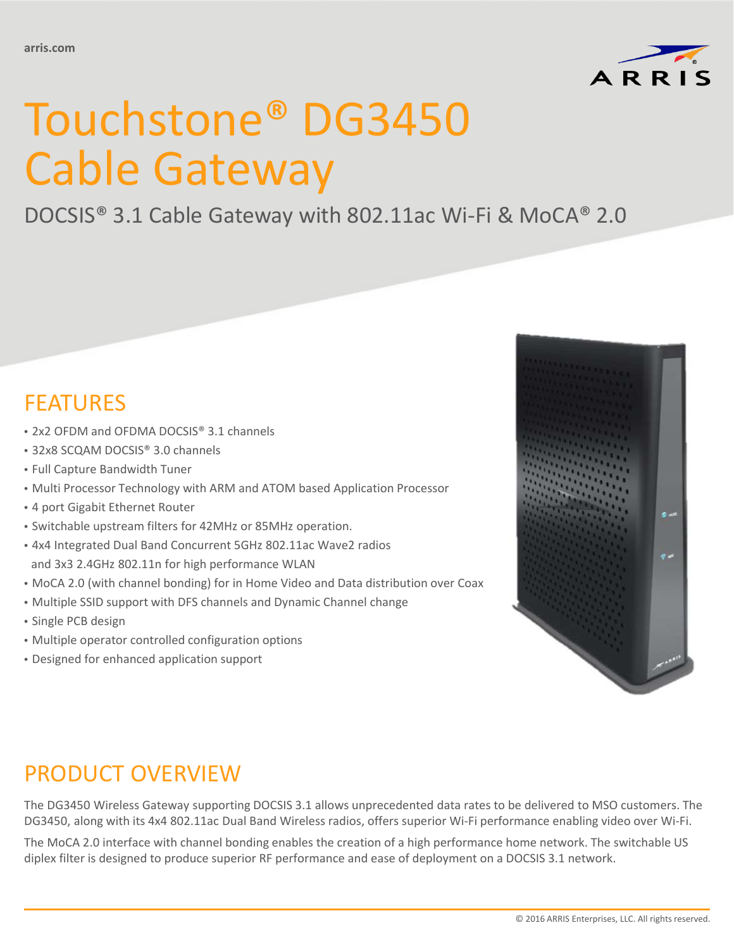

# Touchstone® DG3450 Cable Gateway

### DOCSIS® 3.1 Cable Gateway with 802.11ac Wi-Fi & MoCA® 2.0

## FEATURES

- 2x2 OFDM and OFDMA DOCSIS® 3.1 channels
- 32x8 SCQAM DOCSIS® 3.0 channels
- Full Capture Bandwidth Tuner
- Multi Processor Technology with ARM and ATOM based Application Processor
- 4 port Gigabit Ethernet Router
- Switchable upstream filters for 42MHz or 85MHz operation.
- 4x4 Integrated Dual Band Concurrent 5GHz 802.11ac Wave2 radios and 3x3 2.4GHz 802.11n for high performance WLAN
- MoCA 2.0 (with channel bonding) for in Home Video and Data distribution over Coax
- Multiple SSID support with DFS channels and Dynamic Channel change
- Single PCB design
- Multiple operator controlled configuration options
- Designed for enhanced application support



## PRODUCT OVERVIEW

The DG3450 Wireless Gateway supporting DOCSIS 3.1 allows unprecedented data rates to be delivered to MSO customers. The DG3450, along with its 4x4 802.11ac Dual Band Wireless radios, offers superior Wi-Fi performance enabling video over Wi-Fi.

The MoCA 2.0 interface with channel bonding enables the creation of a high performance home network. The switchable US diplex filter is designed to produce superior RF performance and ease of deployment on a DOCSIS 3.1 network.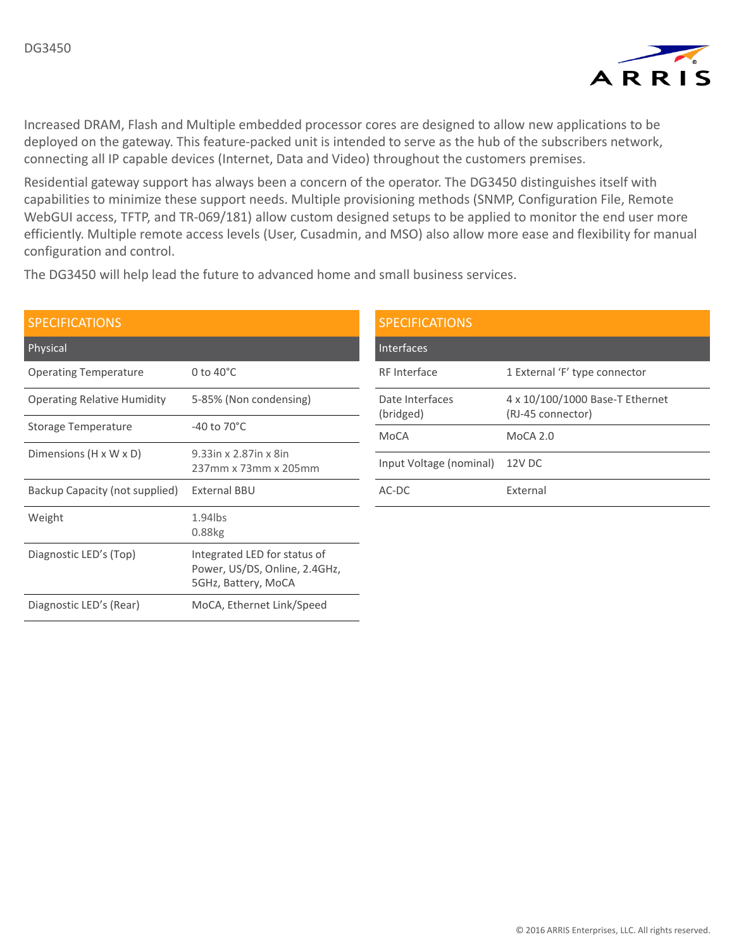

Increased DRAM, Flash and Multiple embedded processor cores are designed to allow new applications to be deployed on the gateway. This feature-packed unit is intended to serve as the hub of the subscribers network, connecting all IP capable devices (Internet, Data and Video) throughout the customers premises.

Residential gateway support has always been a concern of the operator. The DG3450 distinguishes itself with capabilities to minimize these support needs. Multiple provisioning methods (SNMP, Configuration File, Remote WebGUI access, TFTP, and TR-069/181) allow custom designed setups to be applied to monitor the end user more efficiently. Multiple remote access levels (User, Cusadmin, and MSO) also allow more ease and flexibility for manual configuration and control.

The DG3450 will help lead the future to advanced home and small business services.

| <b>SPECIFICATIONS</b>              |                                                                                      |
|------------------------------------|--------------------------------------------------------------------------------------|
| Physical                           |                                                                                      |
| <b>Operating Temperature</b>       | 0 to $40^{\circ}$ C                                                                  |
| <b>Operating Relative Humidity</b> | 5-85% (Non condensing)                                                               |
| Storage Temperature                | $-40$ to 70 $^{\circ}$ C                                                             |
| Dimensions $(H \times W \times D)$ | 9.33in x 2.87in x 8in<br>237mm x 73mm x 205mm                                        |
| Backup Capacity (not supplied)     | External BBU                                                                         |
| Weight                             | $1.94$ lbs<br>0.88kg                                                                 |
| Diagnostic LED's (Top)             | Integrated LED for status of<br>Power, US/DS, Online, 2.4GHz,<br>5GHz, Battery, MoCA |
| Diagnostic LED's (Rear)            | MoCA, Ethernet Link/Speed                                                            |

| <b>SPECIFICATIONS</b>        |                                                      |
|------------------------------|------------------------------------------------------|
| Interfaces                   |                                                      |
| <b>RF</b> Interface          | 1 External 'F' type connector                        |
| Date Interfaces<br>(bridged) | 4 x 10/100/1000 Base-T Ethernet<br>(RJ-45 connector) |
| MoCA                         | $MoCA$ 2.0                                           |
| Input Voltage (nominal)      | 12V DC                                               |
| AC-DC                        | External                                             |